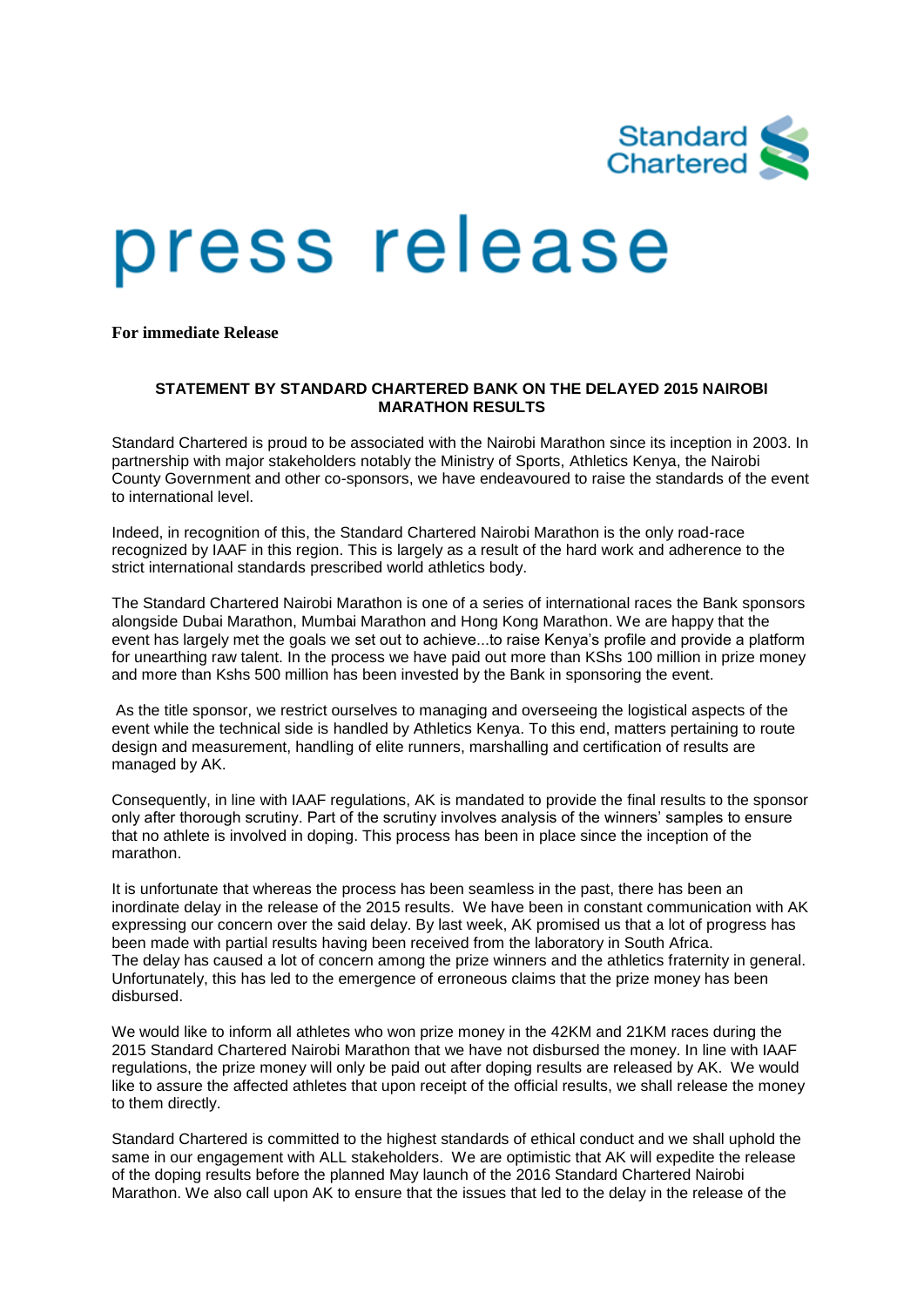

# press release

**For immediate Release**

### **STATEMENT BY STANDARD CHARTERED BANK ON THE DELAYED 2015 NAIROBI MARATHON RESULTS**

Standard Chartered is proud to be associated with the Nairobi Marathon since its inception in 2003. In partnership with major stakeholders notably the Ministry of Sports, Athletics Kenya, the Nairobi County Government and other co-sponsors, we have endeavoured to raise the standards of the event to international level.

Indeed, in recognition of this, the Standard Chartered Nairobi Marathon is the only road-race recognized by IAAF in this region. This is largely as a result of the hard work and adherence to the strict international standards prescribed world athletics body.

The Standard Chartered Nairobi Marathon is one of a series of international races the Bank sponsors alongside Dubai Marathon, Mumbai Marathon and Hong Kong Marathon. We are happy that the event has largely met the goals we set out to achieve...to raise Kenya's profile and provide a platform for unearthing raw talent. In the process we have paid out more than KShs 100 million in prize money and more than Kshs 500 million has been invested by the Bank in sponsoring the event.

As the title sponsor, we restrict ourselves to managing and overseeing the logistical aspects of the event while the technical side is handled by Athletics Kenya. To this end, matters pertaining to route design and measurement, handling of elite runners, marshalling and certification of results are managed by AK.

Consequently, in line with IAAF regulations, AK is mandated to provide the final results to the sponsor only after thorough scrutiny. Part of the scrutiny involves analysis of the winners' samples to ensure that no athlete is involved in doping. This process has been in place since the inception of the marathon.

It is unfortunate that whereas the process has been seamless in the past, there has been an inordinate delay in the release of the 2015 results. We have been in constant communication with AK expressing our concern over the said delay. By last week, AK promised us that a lot of progress has been made with partial results having been received from the laboratory in South Africa. The delay has caused a lot of concern among the prize winners and the athletics fraternity in general. Unfortunately, this has led to the emergence of erroneous claims that the prize money has been disbursed.

We would like to inform all athletes who won prize money in the 42KM and 21KM races during the 2015 Standard Chartered Nairobi Marathon that we have not disbursed the money. In line with IAAF regulations, the prize money will only be paid out after doping results are released by AK. We would like to assure the affected athletes that upon receipt of the official results, we shall release the money to them directly.

Standard Chartered is committed to the highest standards of ethical conduct and we shall uphold the same in our engagement with ALL stakeholders. We are optimistic that AK will expedite the release of the doping results before the planned May launch of the 2016 Standard Chartered Nairobi Marathon. We also call upon AK to ensure that the issues that led to the delay in the release of the